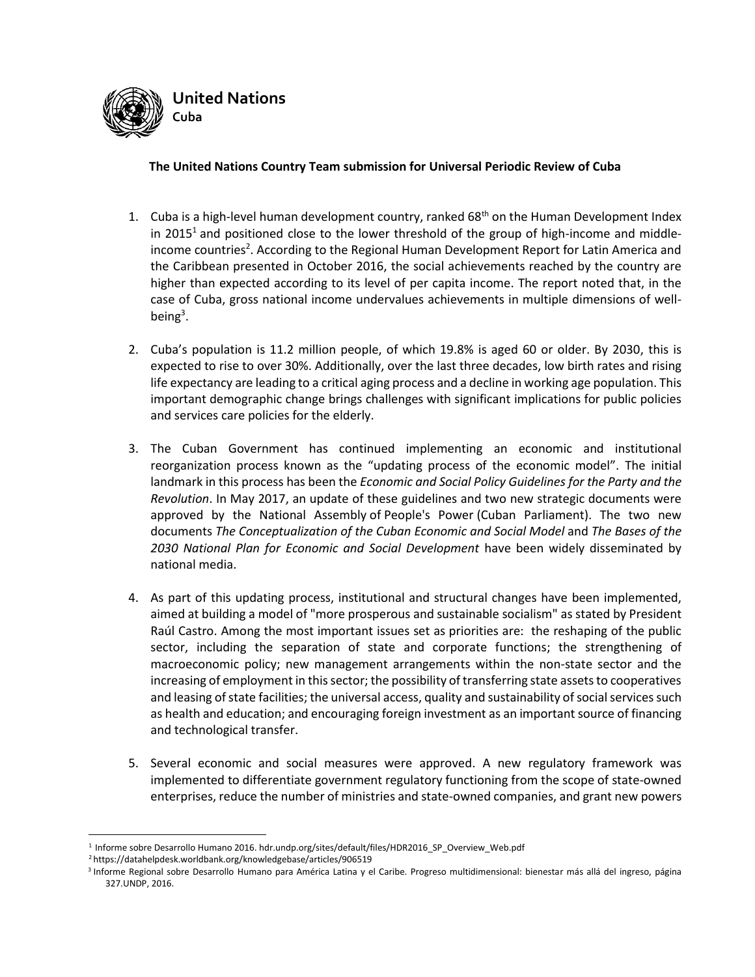

## **The United Nations Country Team submission for Universal Periodic Review of Cuba**

- 1. Cuba is a high-level human development country, ranked  $68<sup>th</sup>$  on the Human Development Index in 2015<sup>1</sup> and positioned close to the lower threshold of the group of high-income and middleincome countries<sup>2</sup>. According to the Regional Human Development Report for Latin America and the Caribbean presented in October 2016, the social achievements reached by the country are higher than expected according to its level of per capita income. The report noted that, in the case of Cuba, gross national income undervalues achievements in multiple dimensions of wellbeing<sup>3</sup>.
- 2. Cuba's population is 11.2 million people, of which 19.8% is aged 60 or older. By 2030, this is expected to rise to over 30%. Additionally, over the last three decades, low birth rates and rising life expectancy are leading to a critical aging process and a decline in working age population. This important demographic change brings challenges with significant implications for public policies and services care policies for the elderly.
- 3. The Cuban Government has continued implementing an economic and institutional reorganization process known as the "updating process of the economic model". The initial landmark in this process has been the *Economic and Social Policy Guidelines for the Party and the Revolution*. In May 2017, an update of these guidelines and two new strategic documents were approved by the National Assembly of People's Power (Cuban Parliament). The two new documents *The Conceptualization of the Cuban Economic and Social Model* and *The Bases of the 2030 National Plan for Economic and Social Development* have been widely disseminated by national media.
- 4. As part of this updating process, institutional and structural changes have been implemented, aimed at building a model of "more prosperous and sustainable socialism" as stated by President Raúl Castro. Among the most important issues set as priorities are: the reshaping of the public sector, including the separation of state and corporate functions; the strengthening of macroeconomic policy; new management arrangements within the non-state sector and the increasing of employment in this sector; the possibility of transferring state assets to cooperatives and leasing of state facilities; the universal access, quality and sustainability of social services such as health and education; and encouraging foreign investment as an important source of financing and technological transfer.
- 5. Several economic and social measures were approved. A new regulatory framework was implemented to differentiate government regulatory functioning from the scope of state-owned enterprises, reduce the number of ministries and state-owned companies, and grant new powers

<sup>&</sup>lt;u>.</u> 1 [Informe sobre Desarrollo Humano 2016.](http://www.undp.org/content/undp/es/home/librarypage/hdr/2016-human-development-report.html) hdr.undp.org/sites/default/files/HDR2016\_SP\_Overview\_Web.pdf

<sup>2</sup> <https://datahelpdesk.worldbank.org/knowledgebase/articles/906519>

<sup>3</sup> Informe Regional sobre Desarrollo Humano para América Latina y el Caribe. Progreso multidimensional: bienestar más allá del ingreso, página 327.UNDP, 2016.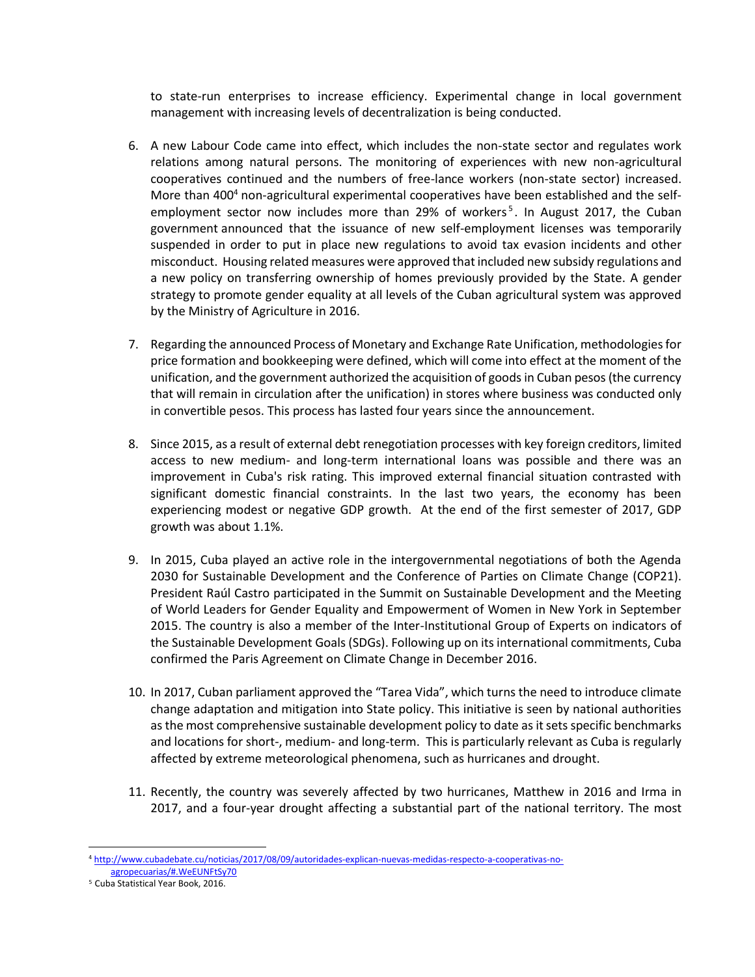to state-run enterprises to increase efficiency. Experimental change in local government management with increasing levels of decentralization is being conducted.

- 6. A new Labour Code came into effect, which includes the non-state sector and regulates work relations among natural persons. The monitoring of experiences with new non-agricultural cooperatives continued and the numbers of free-lance workers (non-state sector) increased. More than 400<sup>4</sup> non-agricultural experimental cooperatives have been established and the selfemployment sector now includes more than 29% of workers<sup>5</sup>. In August 2017, the Cuban [government](http://www.telesurtv.net/english/news/US-Reaffirms-Decades-Long-Economic-Blockade-Against-Cuba-20161118-0020.html) announced that the issuance of new self-employment licenses was temporarily suspended in order to put in place new regulations to avoid tax evasion incidents and other misconduct. Housing related measures were approved that included new subsidy regulations and a new policy on transferring ownership of homes previously provided by the State. A gender strategy to promote gender equality at all levels of the Cuban agricultural system was approved by the Ministry of Agriculture in 2016.
- 7. Regarding the announced Process of Monetary and Exchange Rate Unification, methodologies for price formation and bookkeeping were defined, which will come into effect at the moment of the unification, and the government authorized the acquisition of goods in Cuban pesos (the currency that will remain in circulation after the unification) in stores where business was conducted only in convertible pesos. This process has lasted four years since the announcement.
- 8. Since 2015, as a result of external debt renegotiation processes with key foreign creditors, limited access to new medium- and long-term international loans was possible and there was an improvement in Cuba's risk rating. This improved external financial situation contrasted with significant domestic financial constraints. In the last two years, the economy has been experiencing modest or negative GDP growth. At the end of the first semester of 2017, GDP growth was about 1.1%.
- 9. In 2015, Cuba played an active role in the intergovernmental negotiations of both the Agenda 2030 for Sustainable Development and the Conference of Parties on Climate Change (COP21). President Raúl Castro participated in the Summit on Sustainable Development and the Meeting of World Leaders for Gender Equality and Empowerment of Women in New York in September 2015. The country is also a member of the Inter-Institutional Group of Experts on indicators of the Sustainable Development Goals (SDGs). Following up on its international commitments, Cuba confirmed the Paris Agreement on Climate Change in December 2016.
- 10. In 2017, Cuban parliament approved the "Tarea Vida", which turns the need to introduce climate change adaptation and mitigation into State policy. This initiative is seen by national authorities as the most comprehensive sustainable development policy to date as it sets specific benchmarks and locations for short-, medium- and long-term. This is particularly relevant as Cuba is regularly affected by extreme meteorological phenomena, such as hurricanes and drought.
- 11. Recently, the country was severely affected by two hurricanes, Matthew in 2016 and Irma in 2017, and a four-year drought affecting a substantial part of the national territory. The most

<u>.</u>

<sup>4</sup> [http://www.cubadebate.cu/noticias/2017/08/09/autoridades-explican-nuevas-medidas-respecto-a-cooperativas-no](http://www.cubadebate.cu/noticias/2017/08/09/autoridades-explican-nuevas-medidas-respecto-a-cooperativas-no-agropecuarias/#.WeEUNFtSy70)[agropecuarias/#.WeEUNFtSy70](http://www.cubadebate.cu/noticias/2017/08/09/autoridades-explican-nuevas-medidas-respecto-a-cooperativas-no-agropecuarias/#.WeEUNFtSy70)

<sup>5</sup> Cuba Statistical Year Book, 2016.